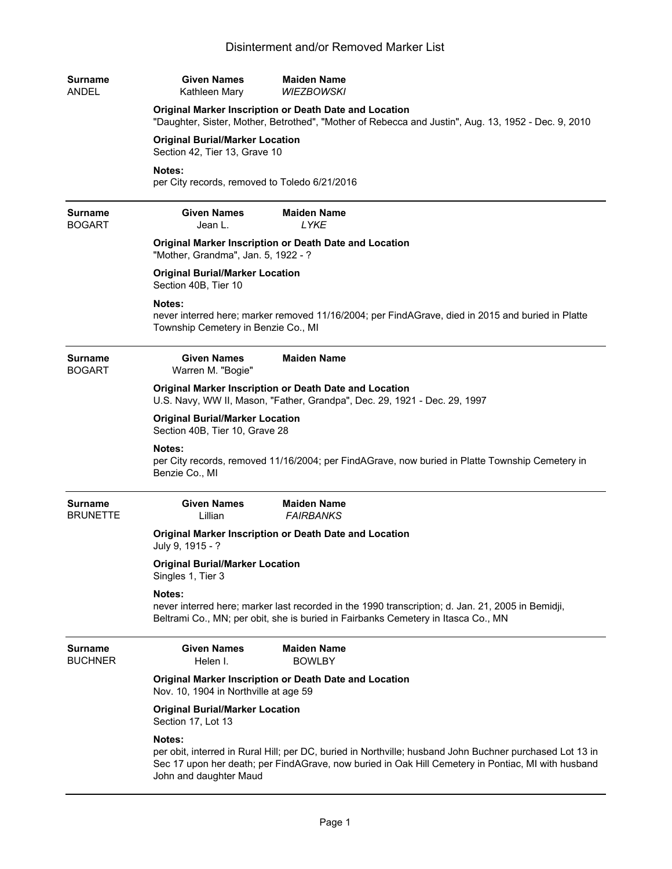| <b>Surname</b><br>ANDEL           | <b>Given Names</b><br>Kathleen Mary                                                                                                                           | <b>Maiden Name</b><br><b>WIEZBOWSKI</b>                                                                                                                                                                        |  |
|-----------------------------------|---------------------------------------------------------------------------------------------------------------------------------------------------------------|----------------------------------------------------------------------------------------------------------------------------------------------------------------------------------------------------------------|--|
|                                   | Original Marker Inscription or Death Date and Location<br>"Daughter, Sister, Mother, Betrothed", "Mother of Rebecca and Justin", Aug. 13, 1952 - Dec. 9, 2010 |                                                                                                                                                                                                                |  |
|                                   | <b>Original Burial/Marker Location</b><br>Section 42, Tier 13, Grave 10                                                                                       |                                                                                                                                                                                                                |  |
|                                   | Notes:<br>per City records, removed to Toledo 6/21/2016                                                                                                       |                                                                                                                                                                                                                |  |
| <b>Surname</b><br><b>BOGART</b>   | <b>Given Names</b><br>Jean L.                                                                                                                                 | <b>Maiden Name</b><br><b>LYKE</b>                                                                                                                                                                              |  |
|                                   | Original Marker Inscription or Death Date and Location<br>"Mother, Grandma", Jan. 5, 1922 - ?                                                                 |                                                                                                                                                                                                                |  |
|                                   | <b>Original Burial/Marker Location</b><br>Section 40B, Tier 10                                                                                                |                                                                                                                                                                                                                |  |
|                                   | Notes:<br>Township Cemetery in Benzie Co., MI                                                                                                                 | never interred here; marker removed 11/16/2004; per FindAGrave, died in 2015 and buried in Platte                                                                                                              |  |
| <b>Surname</b><br><b>BOGART</b>   | <b>Given Names</b><br>Warren M. "Bogie"                                                                                                                       | <b>Maiden Name</b>                                                                                                                                                                                             |  |
|                                   | Original Marker Inscription or Death Date and Location<br>U.S. Navy, WW II, Mason, "Father, Grandpa", Dec. 29, 1921 - Dec. 29, 1997                           |                                                                                                                                                                                                                |  |
|                                   | <b>Original Burial/Marker Location</b><br>Section 40B, Tier 10, Grave 28                                                                                      |                                                                                                                                                                                                                |  |
|                                   | Notes:<br>Benzie Co., MI                                                                                                                                      | per City records, removed 11/16/2004; per FindAGrave, now buried in Platte Township Cemetery in                                                                                                                |  |
| <b>Surname</b><br><b>BRUNETTE</b> | <b>Given Names</b><br>Lillian                                                                                                                                 | <b>Maiden Name</b><br><b>FAIRBANKS</b>                                                                                                                                                                         |  |
|                                   | July 9, 1915 - ?                                                                                                                                              | Original Marker Inscription or Death Date and Location                                                                                                                                                         |  |
|                                   | <b>Original Burial/Marker Location</b><br>Singles 1, Tier 3                                                                                                   |                                                                                                                                                                                                                |  |
|                                   | Notes:                                                                                                                                                        | never interred here; marker last recorded in the 1990 transcription; d. Jan. 21, 2005 in Bemidji,<br>Beltrami Co., MN; per obit, she is buried in Fairbanks Cemetery in Itasca Co., MN                         |  |
| <b>Surname</b><br><b>BUCHNER</b>  | <b>Given Names</b><br>Helen I.                                                                                                                                | <b>Maiden Name</b><br><b>BOWLBY</b>                                                                                                                                                                            |  |
|                                   | Nov. 10, 1904 in Northville at age 59                                                                                                                         | Original Marker Inscription or Death Date and Location                                                                                                                                                         |  |
|                                   | <b>Original Burial/Marker Location</b><br>Section 17, Lot 13                                                                                                  |                                                                                                                                                                                                                |  |
|                                   | Notes:<br>John and daughter Maud                                                                                                                              | per obit, interred in Rural Hill; per DC, buried in Northville; husband John Buchner purchased Lot 13 in<br>Sec 17 upon her death; per FindAGrave, now buried in Oak Hill Cemetery in Pontiac, MI with husband |  |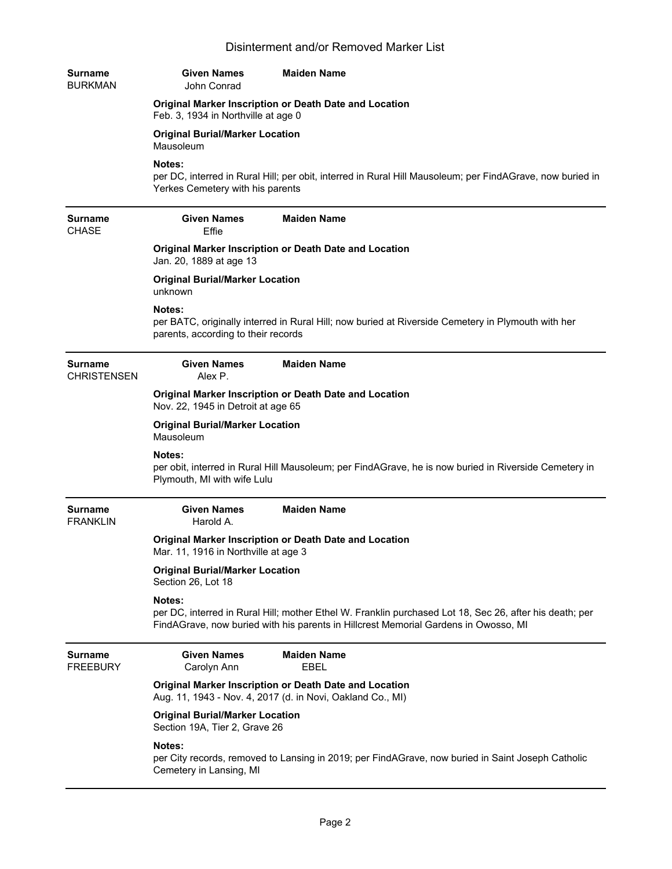| Surname<br>BURKMAN            | <b>Given Names</b><br>John Conrad                                                             | <b>Maiden Name</b>                                                                                                                                                                             |  |
|-------------------------------|-----------------------------------------------------------------------------------------------|------------------------------------------------------------------------------------------------------------------------------------------------------------------------------------------------|--|
|                               | Original Marker Inscription or Death Date and Location<br>Feb. 3, 1934 in Northville at age 0 |                                                                                                                                                                                                |  |
|                               | <b>Original Burial/Marker Location</b><br>Mausoleum                                           |                                                                                                                                                                                                |  |
|                               | <b>Notes:</b><br>Yerkes Cemetery with his parents                                             | per DC, interred in Rural Hill; per obit, interred in Rural Hill Mausoleum; per FindAGrave, now buried in                                                                                      |  |
| Surname<br><b>CHASE</b>       | <b>Given Names</b><br>Effie                                                                   | <b>Maiden Name</b>                                                                                                                                                                             |  |
|                               | Original Marker Inscription or Death Date and Location<br>Jan. 20, 1889 at age 13             |                                                                                                                                                                                                |  |
|                               | <b>Original Burial/Marker Location</b><br>unknown                                             |                                                                                                                                                                                                |  |
|                               | <b>Notes:</b><br>parents, according to their records                                          | per BATC, originally interred in Rural Hill; now buried at Riverside Cemetery in Plymouth with her                                                                                             |  |
| Surname<br><b>CHRISTENSEN</b> | <b>Given Names</b><br>Alex P.                                                                 | <b>Maiden Name</b>                                                                                                                                                                             |  |
|                               | Original Marker Inscription or Death Date and Location<br>Nov. 22, 1945 in Detroit at age 65  |                                                                                                                                                                                                |  |
|                               | <b>Original Burial/Marker Location</b><br>Mausoleum                                           |                                                                                                                                                                                                |  |
|                               | Notes:<br>Plymouth, MI with wife Lulu                                                         | per obit, interred in Rural Hill Mausoleum; per FindAGrave, he is now buried in Riverside Cemetery in                                                                                          |  |
| Surname<br><b>FRANKLIN</b>    | <b>Given Names</b><br>Harold A.                                                               | <b>Maiden Name</b>                                                                                                                                                                             |  |
|                               | Mar. 11, 1916 in Northville at age 3                                                          | Original Marker Inscription or Death Date and Location                                                                                                                                         |  |
|                               | <b>Original Burial/Marker Location</b><br>Section 26, Lot 18                                  |                                                                                                                                                                                                |  |
|                               | Notes:                                                                                        | per DC, interred in Rural Hill; mother Ethel W. Franklin purchased Lot 18, Sec 26, after his death; per<br>FindAGrave, now buried with his parents in Hillcrest Memorial Gardens in Owosso, MI |  |
| Surname<br><b>FREEBURY</b>    | <b>Given Names</b><br>Carolyn Ann                                                             | <b>Maiden Name</b><br><b>EBEL</b>                                                                                                                                                              |  |
|                               |                                                                                               | Original Marker Inscription or Death Date and Location<br>Aug. 11, 1943 - Nov. 4, 2017 (d. in Novi, Oakland Co., MI)                                                                           |  |
|                               | <b>Original Burial/Marker Location</b><br>Section 19A, Tier 2, Grave 26                       |                                                                                                                                                                                                |  |
|                               | Notes:<br>Cemetery in Lansing, MI                                                             | per City records, removed to Lansing in 2019; per FindAGrave, now buried in Saint Joseph Catholic                                                                                              |  |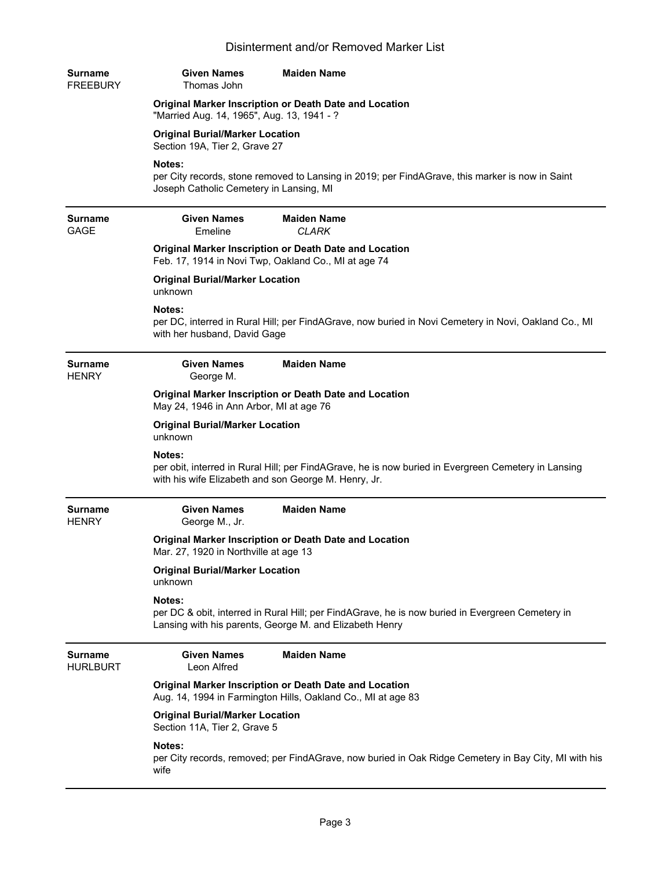| Surname<br><b>FREEBURY</b>        | <b>Given Names</b><br><b>Maiden Name</b><br>Thomas John                                                                                                               |
|-----------------------------------|-----------------------------------------------------------------------------------------------------------------------------------------------------------------------|
|                                   | Original Marker Inscription or Death Date and Location<br>"Married Aug. 14, 1965", Aug. 13, 1941 - ?                                                                  |
|                                   | <b>Original Burial/Marker Location</b><br>Section 19A, Tier 2, Grave 27                                                                                               |
|                                   | Notes:<br>per City records, stone removed to Lansing in 2019; per FindAGrave, this marker is now in Saint<br>Joseph Catholic Cemetery in Lansing, MI                  |
| Surname<br><b>GAGE</b>            | <b>Given Names</b><br><b>Maiden Name</b><br>Emeline<br>CLARK                                                                                                          |
|                                   | Original Marker Inscription or Death Date and Location<br>Feb. 17, 1914 in Novi Twp, Oakland Co., MI at age 74                                                        |
|                                   | <b>Original Burial/Marker Location</b><br>unknown                                                                                                                     |
|                                   | Notes:<br>per DC, interred in Rural Hill; per FindAGrave, now buried in Novi Cemetery in Novi, Oakland Co., MI<br>with her husband, David Gage                        |
| Surname<br><b>HENRY</b>           | <b>Given Names</b><br><b>Maiden Name</b><br>George M.                                                                                                                 |
|                                   | Original Marker Inscription or Death Date and Location<br>May 24, 1946 in Ann Arbor, MI at age 76                                                                     |
|                                   | <b>Original Burial/Marker Location</b><br>unknown                                                                                                                     |
|                                   | Notes:<br>per obit, interred in Rural Hill; per FindAGrave, he is now buried in Evergreen Cemetery in Lansing<br>with his wife Elizabeth and son George M. Henry, Jr. |
| Surname<br><b>HENRY</b>           | <b>Given Names</b><br><b>Maiden Name</b><br>George M., Jr.                                                                                                            |
|                                   | Original Marker Inscription or Death Date and Location<br>Mar. 27, 1920 in Northville at age 13                                                                       |
|                                   | <b>Original Burial/Marker Location</b><br>unknown                                                                                                                     |
|                                   | Notes:<br>per DC & obit, interred in Rural Hill; per FindAGrave, he is now buried in Evergreen Cemetery in<br>Lansing with his parents, George M. and Elizabeth Henry |
| <b>Surname</b><br><b>HURLBURT</b> | <b>Maiden Name</b><br><b>Given Names</b><br>Leon Alfred                                                                                                               |
|                                   | Original Marker Inscription or Death Date and Location<br>Aug. 14, 1994 in Farmington Hills, Oakland Co., MI at age 83                                                |
|                                   | <b>Original Burial/Marker Location</b><br>Section 11A, Tier 2, Grave 5                                                                                                |
|                                   | Notes:<br>per City records, removed; per FindAGrave, now buried in Oak Ridge Cemetery in Bay City, MI with his<br>wife                                                |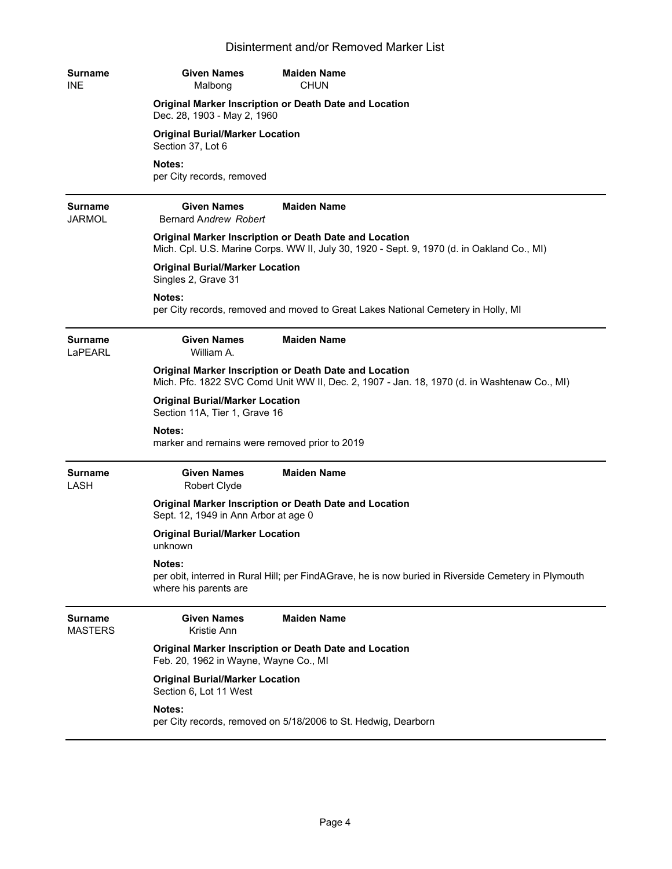| <b>Surname</b><br><b>INE</b>    | <b>Given Names</b><br>Malbong                                           | <b>Maiden Name</b><br><b>CHUN</b>                                                                                                                     |
|---------------------------------|-------------------------------------------------------------------------|-------------------------------------------------------------------------------------------------------------------------------------------------------|
|                                 | Dec. 28, 1903 - May 2, 1960                                             | Original Marker Inscription or Death Date and Location                                                                                                |
|                                 | <b>Original Burial/Marker Location</b><br>Section 37, Lot 6             |                                                                                                                                                       |
|                                 | Notes:<br>per City records, removed                                     |                                                                                                                                                       |
| <b>Surname</b><br><b>JARMOL</b> | <b>Given Names</b><br>Bernard Andrew Robert                             | <b>Maiden Name</b>                                                                                                                                    |
|                                 |                                                                         | Original Marker Inscription or Death Date and Location<br>Mich. Cpl. U.S. Marine Corps. WW II, July 30, 1920 - Sept. 9, 1970 (d. in Oakland Co., MI)  |
|                                 | <b>Original Burial/Marker Location</b><br>Singles 2, Grave 31           |                                                                                                                                                       |
|                                 | Notes:                                                                  | per City records, removed and moved to Great Lakes National Cemetery in Holly, MI                                                                     |
| <b>Surname</b><br>LaPEARL       | <b>Given Names</b><br>William A.                                        | <b>Maiden Name</b>                                                                                                                                    |
|                                 |                                                                         | Original Marker Inscription or Death Date and Location<br>Mich. Pfc. 1822 SVC Comd Unit WW II, Dec. 2, 1907 - Jan. 18, 1970 (d. in Washtenaw Co., MI) |
|                                 | <b>Original Burial/Marker Location</b><br>Section 11A, Tier 1, Grave 16 |                                                                                                                                                       |
|                                 | Notes:<br>marker and remains were removed prior to 2019                 |                                                                                                                                                       |
| <b>Surname</b><br>LASH          | <b>Given Names</b><br>Robert Clyde                                      | <b>Maiden Name</b>                                                                                                                                    |
|                                 | Sept. 12, 1949 in Ann Arbor at age 0                                    | Original Marker Inscription or Death Date and Location                                                                                                |
|                                 | <b>Original Burial/Marker Location</b><br>unknown                       |                                                                                                                                                       |
|                                 | Notes:<br>where his parents are                                         | per obit, interred in Rural Hill; per FindAGrave, he is now buried in Riverside Cemetery in Plymouth                                                  |
| Surname<br><b>MASTERS</b>       | <b>Given Names</b><br>Kristie Ann                                       | <b>Maiden Name</b>                                                                                                                                    |
|                                 | Feb. 20, 1962 in Wayne, Wayne Co., MI                                   | Original Marker Inscription or Death Date and Location                                                                                                |
|                                 | <b>Original Burial/Marker Location</b><br>Section 6, Lot 11 West        |                                                                                                                                                       |
|                                 | Notes:                                                                  | per City records, removed on 5/18/2006 to St. Hedwig, Dearborn                                                                                        |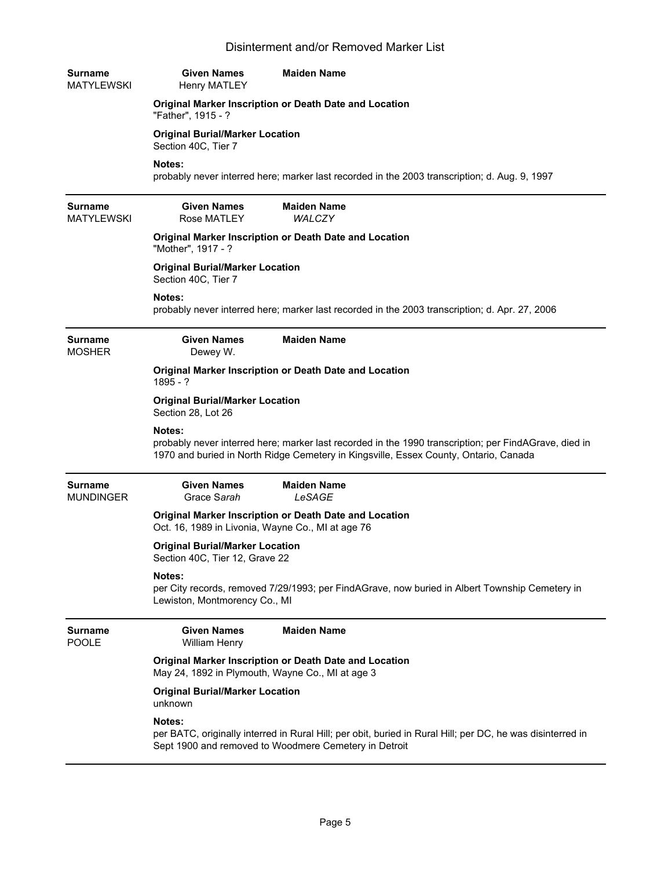| <b>Surname</b><br><b>MATYLEWSKI</b> | <b>Given Names</b><br><b>Henry MATLEY</b>                                                                   | <b>Maiden Name</b>                                                                                                                                                                            |
|-------------------------------------|-------------------------------------------------------------------------------------------------------------|-----------------------------------------------------------------------------------------------------------------------------------------------------------------------------------------------|
|                                     | "Father", 1915 - ?                                                                                          | Original Marker Inscription or Death Date and Location                                                                                                                                        |
|                                     | <b>Original Burial/Marker Location</b><br>Section 40C, Tier 7                                               |                                                                                                                                                                                               |
|                                     | Notes:                                                                                                      | probably never interred here; marker last recorded in the 2003 transcription; d. Aug. 9, 1997                                                                                                 |
| <b>Surname</b><br><b>MATYLEWSKI</b> | <b>Given Names</b><br>Rose MATLEY                                                                           | <b>Maiden Name</b><br><b>WALCZY</b>                                                                                                                                                           |
|                                     | "Mother", 1917 - ?                                                                                          | Original Marker Inscription or Death Date and Location                                                                                                                                        |
|                                     | <b>Original Burial/Marker Location</b><br>Section 40C, Tier 7                                               |                                                                                                                                                                                               |
|                                     | Notes:                                                                                                      | probably never interred here; marker last recorded in the 2003 transcription; d. Apr. 27, 2006                                                                                                |
| <b>Surname</b><br><b>MOSHER</b>     | <b>Given Names</b><br>Dewey W.                                                                              | <b>Maiden Name</b>                                                                                                                                                                            |
|                                     | $1895 - ?$                                                                                                  | Original Marker Inscription or Death Date and Location                                                                                                                                        |
|                                     | <b>Original Burial/Marker Location</b><br>Section 28, Lot 26                                                |                                                                                                                                                                                               |
|                                     | Notes:                                                                                                      | probably never interred here; marker last recorded in the 1990 transcription; per FindAGrave, died in<br>1970 and buried in North Ridge Cemetery in Kingsville, Essex County, Ontario, Canada |
| <b>Surname</b><br><b>MUNDINGER</b>  | <b>Given Names</b><br>Grace Sarah                                                                           | <b>Maiden Name</b><br>LeSAGE                                                                                                                                                                  |
|                                     | Original Marker Inscription or Death Date and Location<br>Oct. 16, 1989 in Livonia, Wayne Co., MI at age 76 |                                                                                                                                                                                               |
|                                     | <b>Original Burial/Marker Location</b><br>Section 40C, Tier 12, Grave 22                                    |                                                                                                                                                                                               |
|                                     | Notes:<br>Lewiston, Montmorency Co., MI                                                                     | per City records, removed 7/29/1993; per FindAGrave, now buried in Albert Township Cemetery in                                                                                                |
| <b>Surname</b><br><b>POOLE</b>      | <b>Given Names</b><br><b>William Henry</b>                                                                  | <b>Maiden Name</b>                                                                                                                                                                            |
|                                     | May 24, 1892 in Plymouth, Wayne Co., MI at age 3                                                            | <b>Original Marker Inscription or Death Date and Location</b>                                                                                                                                 |
|                                     | <b>Original Burial/Marker Location</b><br>unknown                                                           |                                                                                                                                                                                               |
|                                     | Notes:                                                                                                      | per BATC, originally interred in Rural Hill; per obit, buried in Rural Hill; per DC, he was disinterred in<br>Sept 1900 and removed to Woodmere Cemetery in Detroit                           |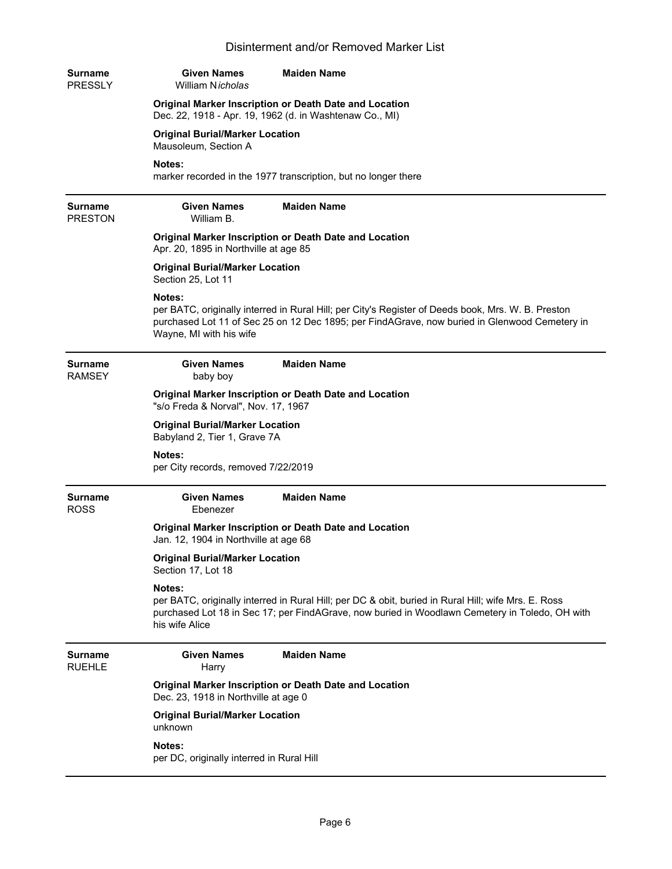| Surname<br><b>PRESSLY</b> | <b>Given Names</b><br>William Nicholas                                                                            | <b>Maiden Name</b>                                                                                                                                                                                    |  |
|---------------------------|-------------------------------------------------------------------------------------------------------------------|-------------------------------------------------------------------------------------------------------------------------------------------------------------------------------------------------------|--|
|                           | Original Marker Inscription or Death Date and Location<br>Dec. 22, 1918 - Apr. 19, 1962 (d. in Washtenaw Co., MI) |                                                                                                                                                                                                       |  |
|                           | <b>Original Burial/Marker Location</b><br>Mausoleum, Section A                                                    |                                                                                                                                                                                                       |  |
|                           | Notes:                                                                                                            | marker recorded in the 1977 transcription, but no longer there                                                                                                                                        |  |
| Surname<br><b>PRESTON</b> | <b>Given Names</b><br>William B.                                                                                  | <b>Maiden Name</b>                                                                                                                                                                                    |  |
|                           | Apr. 20, 1895 in Northville at age 85                                                                             | Original Marker Inscription or Death Date and Location                                                                                                                                                |  |
|                           | <b>Original Burial/Marker Location</b><br>Section 25, Lot 11                                                      |                                                                                                                                                                                                       |  |
|                           | Notes:<br>Wayne, MI with his wife                                                                                 | per BATC, originally interred in Rural Hill; per City's Register of Deeds book, Mrs. W. B. Preston<br>purchased Lot 11 of Sec 25 on 12 Dec 1895; per FindAGrave, now buried in Glenwood Cemetery in   |  |
| Surname<br>RAMSEY         | <b>Given Names</b><br>baby boy                                                                                    | <b>Maiden Name</b>                                                                                                                                                                                    |  |
|                           | Original Marker Inscription or Death Date and Location<br>"s/o Freda & Norval", Nov. 17, 1967                     |                                                                                                                                                                                                       |  |
|                           | <b>Original Burial/Marker Location</b><br>Babyland 2, Tier 1, Grave 7A                                            |                                                                                                                                                                                                       |  |
|                           | Notes:<br>per City records, removed 7/22/2019                                                                     |                                                                                                                                                                                                       |  |
| Surname<br><b>ROSS</b>    | <b>Given Names</b><br>Ebenezer                                                                                    | <b>Maiden Name</b>                                                                                                                                                                                    |  |
|                           | Original Marker Inscription or Death Date and Location<br>Jan. 12, 1904 in Northville at age 68                   |                                                                                                                                                                                                       |  |
|                           | <b>Original Burial/Marker Location</b><br>Section 17, Lot 18                                                      |                                                                                                                                                                                                       |  |
|                           | Notes:<br>his wife Alice                                                                                          | per BATC, originally interred in Rural Hill; per DC & obit, buried in Rural Hill; wife Mrs. E. Ross<br>purchased Lot 18 in Sec 17; per FindAGrave, now buried in Woodlawn Cemetery in Toledo, OH with |  |
| Surname<br><b>RUEHLE</b>  | <b>Given Names</b><br>Harry                                                                                       | <b>Maiden Name</b>                                                                                                                                                                                    |  |
|                           | Dec. 23, 1918 in Northville at age 0                                                                              | Original Marker Inscription or Death Date and Location                                                                                                                                                |  |
|                           | <b>Original Burial/Marker Location</b><br>unknown                                                                 |                                                                                                                                                                                                       |  |
|                           | Notes:<br>per DC, originally interred in Rural Hill                                                               |                                                                                                                                                                                                       |  |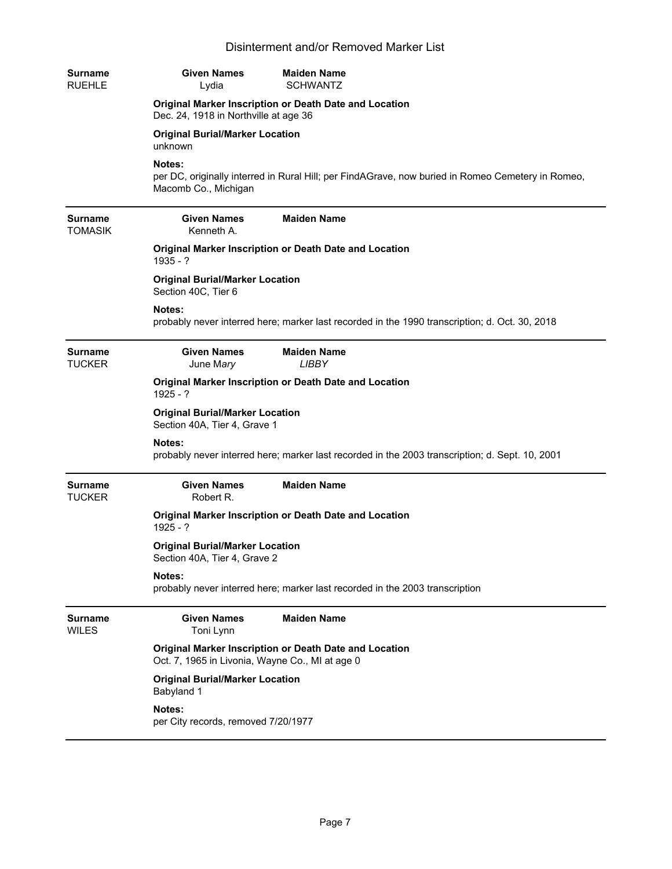| <b>Surname</b><br><b>RUEHLE</b>  | <b>Given Names</b><br>Lydia                                            | <b>Maiden Name</b><br><b>SCHWANTZ</b>                                                             |
|----------------------------------|------------------------------------------------------------------------|---------------------------------------------------------------------------------------------------|
|                                  | Dec. 24, 1918 in Northville at age 36                                  | Original Marker Inscription or Death Date and Location                                            |
|                                  | <b>Original Burial/Marker Location</b><br>unknown                      |                                                                                                   |
|                                  | Notes:<br>Macomb Co., Michigan                                         | per DC, originally interred in Rural Hill; per FindAGrave, now buried in Romeo Cemetery in Romeo, |
| <b>Surname</b><br><b>TOMASIK</b> | <b>Given Names</b><br>Kenneth A.                                       | <b>Maiden Name</b>                                                                                |
|                                  | $1935 - ?$                                                             | Original Marker Inscription or Death Date and Location                                            |
|                                  | <b>Original Burial/Marker Location</b><br>Section 40C, Tier 6          |                                                                                                   |
|                                  | Notes:                                                                 | probably never interred here; marker last recorded in the 1990 transcription; d. Oct. 30, 2018    |
| <b>Surname</b><br><b>TUCKER</b>  | <b>Given Names</b><br>June Mary                                        | <b>Maiden Name</b><br><b>LIBBY</b>                                                                |
|                                  | $1925 - ?$                                                             | Original Marker Inscription or Death Date and Location                                            |
|                                  | <b>Original Burial/Marker Location</b><br>Section 40A, Tier 4, Grave 1 |                                                                                                   |
|                                  | Notes:                                                                 | probably never interred here; marker last recorded in the 2003 transcription; d. Sept. 10, 2001   |
| <b>Surname</b><br><b>TUCKER</b>  | <b>Given Names</b><br>Robert R.                                        | <b>Maiden Name</b>                                                                                |
|                                  | $1925 - 2$                                                             | Original Marker Inscription or Death Date and Location                                            |
|                                  | <b>Original Burial/Marker Location</b><br>Section 40A, Tier 4, Grave 2 |                                                                                                   |
|                                  | Notes:                                                                 | probably never interred here; marker last recorded in the 2003 transcription                      |
| <b>Surname</b><br><b>WILES</b>   | <b>Given Names</b><br>Toni Lynn                                        | <b>Maiden Name</b>                                                                                |
|                                  | Oct. 7, 1965 in Livonia, Wayne Co., MI at age 0                        | Original Marker Inscription or Death Date and Location                                            |
|                                  | <b>Original Burial/Marker Location</b><br>Babyland 1                   |                                                                                                   |
|                                  | Notes:<br>per City records, removed 7/20/1977                          |                                                                                                   |